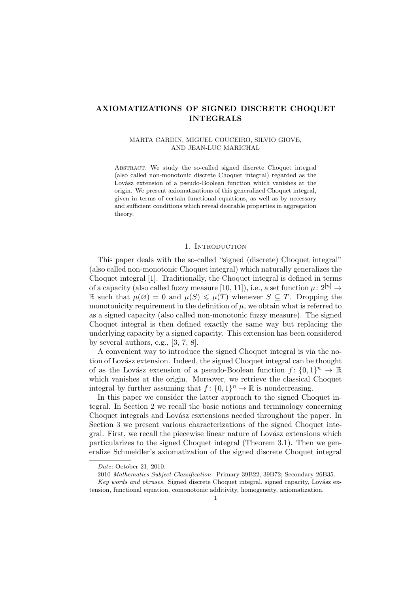# AXIOMATIZATIONS OF SIGNED DISCRETE CHOQUET INTEGRALS

### MARTA CARDIN, MIGUEL COUCEIRO, SILVIO GIOVE, AND JEAN-LUC MARICHAL

Abstract. We study the so-called signed discrete Choquet integral (also called non-monotonic discrete Choquet integral) regarded as the Lovász extension of a pseudo-Boolean function which vanishes at the origin. We present axiomatizations of this generalized Choquet integral, given in terms of certain functional equations, as well as by necessary and sufficient conditions which reveal desirable properties in aggregation theory.

### 1. INTRODUCTION

This paper deals with the so-called "signed (discrete) Choquet integral" (also called non-monotonic Choquet integral) which naturally generalizes the Choquet integral [1]. Traditionally, the Choquet integral is defined in terms of a capacity (also called fuzzy measure [10, 11]), i.e., a set function  $\mu: 2^{[n]} \rightarrow$ R such that  $\mu(\emptyset) = 0$  and  $\mu(S) \leq \mu(T)$  whenever  $S \subseteq T$ . Dropping the monotonicity requirement in the definition of  $\mu$ , we obtain what is referred to as a signed capacity (also called non-monotonic fuzzy measure). The signed Choquet integral is then defined exactly the same way but replacing the underlying capacity by a signed capacity. This extension has been considered by several authors, e.g., [3, 7, 8].

A convenient way to introduce the signed Choquet integral is via the notion of Lovász extension. Indeed, the signed Choquet integral can be thought of as the Lovász extension of a pseudo-Boolean function  $f: \{0,1\}^n \to \mathbb{R}$ which vanishes at the origin. Moreover, we retrieve the classical Choquet integral by further assuming that  $f: \{0,1\}^n \to \mathbb{R}$  is nondecreasing.

In this paper we consider the latter approach to the signed Choquet integral. In Section 2 we recall the basic notions and terminology concerning Choquet integrals and Lovász esxtensions needed throughout the paper. In Section 3 we present various characterizations of the signed Choquet integral. First, we recall the piecewise linear nature of Lovász extensions which particularizes to the signed Choquet integral (Theorem 3.1). Then we generalize Schmeidler's axiomatization of the signed discrete Choquet integral

Date: October 21, 2010.

<sup>2010</sup> Mathematics Subject Classification. Primary 39B22, 39B72; Secondary 26B35.

Key words and phrases. Signed discrete Choquet integral, signed capacity, Lovász extension, functional equation, comonotonic additivity, homogeneity, axiomatization.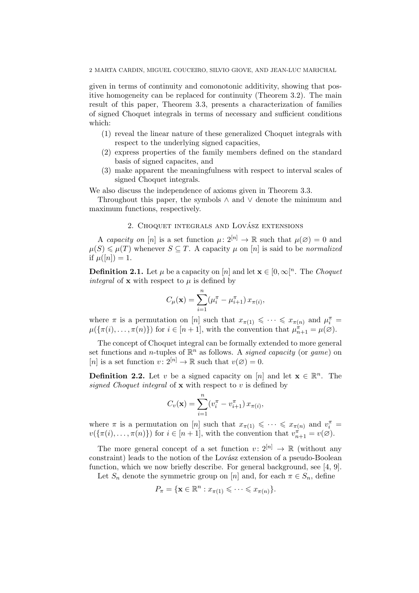2 MARTA CARDIN, MIGUEL COUCEIRO, SILVIO GIOVE, AND JEAN-LUC MARICHAL

given in terms of continuity and comonotonic additivity, showing that positive homogeneity can be replaced for continuity (Theorem 3.2). The main result of this paper, Theorem 3.3, presents a characterization of families of signed Choquet integrals in terms of necessary and sufficient conditions which:

- (1) reveal the linear nature of these generalized Choquet integrals with respect to the underlying signed capacities,
- (2) express properties of the family members defined on the standard basis of signed capacites, and
- (3) make apparent the meaningfulness with respect to interval scales of signed Choquet integrals.

We also discuss the independence of axioms given in Theorem 3.3.

Throughout this paper, the symbols  $\land$  and  $\lor$  denote the minimum and maximum functions, respectively.

# 2. CHOQUET INTEGRALS AND LOVÁSZ EXTENSIONS

A capacity on [n] is a set function  $\mu: 2^{[n]} \to \mathbb{R}$  such that  $\mu(\emptyset) = 0$  and  $\mu(S) \leq \mu(T)$  whenever  $S \subseteq T$ . A capacity  $\mu$  on [n] is said to be normalized if  $\mu([n]) = 1$ .

**Definition 2.1.** Let  $\mu$  be a capacity on [n] and let  $\mathbf{x} \in [0, \infty]^n$ . The *Choquet* integral of **x** with respect to  $\mu$  is defined by

$$
C_{\mu}(\mathbf{x}) = \sum_{i=1}^{n} (\mu_i^{\pi} - \mu_{i+1}^{\pi}) x_{\pi(i)},
$$

where  $\pi$  is a permutation on [n] such that  $x_{\pi(1)} \leqslant \cdots \leqslant x_{\pi(n)}$  and  $\mu_i^{\pi} =$  $\mu(\{\pi(i), \ldots, \pi(n)\})$  for  $i \in [n+1]$ , with the convention that  $\mu_{n+1}^{\pi} = \mu(\emptyset)$ .

The concept of Choquet integral can be formally extended to more general set functions and *n*-tuples of  $\mathbb{R}^n$  as follows. A *signed capacity* (or *game*) on [n] is a set function  $v: 2^{[n]} \to \mathbb{R}$  such that  $v(\emptyset) = 0$ .

**Definition 2.2.** Let v be a signed capacity on [n] and let  $\mathbf{x} \in \mathbb{R}^n$ . The signed Choquet integral of  $x$  with respect to v is defined by

$$
C_v(\mathbf{x}) = \sum_{i=1}^n (v_i^{\pi} - v_{i+1}^{\pi}) x_{\pi(i)},
$$

where  $\pi$  is a permutation on [n] such that  $x_{\pi(1)} \leq \cdots \leq x_{\pi(n)}$  and  $v_i^{\pi} =$  $v(\{\pi(i), \ldots, \pi(n)\})$  for  $i \in [n+1]$ , with the convention that  $v_{n+1}^{\pi^+} = v(\emptyset)$ .

The more general concept of a set function  $v: 2^{[n]} \to \mathbb{R}$  (without any constraint) leads to the notion of the Lovász extension of a pseudo-Boolean function, which we now briefly describe. For general background, see [4, 9].

Let  $S_n$  denote the symmetric group on [n] and, for each  $\pi \in S_n$ , define

$$
P_{\pi} = \{ \mathbf{x} \in \mathbb{R}^n : x_{\pi(1)} \leqslant \cdots \leqslant x_{\pi(n)} \}.
$$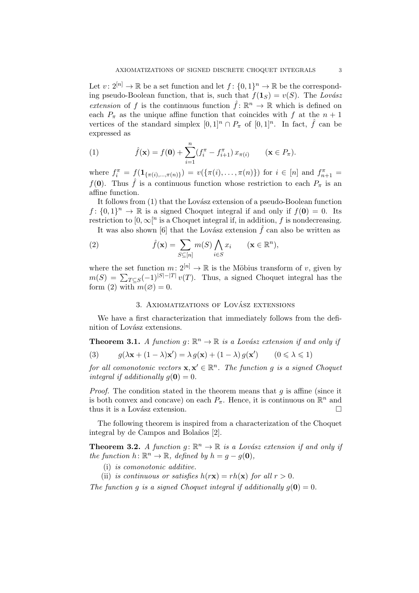Let  $v: 2^{[n]} \to \mathbb{R}$  be a set function and let  $f: \{0,1\}^n \to \mathbb{R}$  be the corresponding pseudo-Boolean function, that is, such that  $f(1_S) = v(S)$ . The Lovász extension of f is the continuous function  $\hat{f}$ :  $\mathbb{R}^n \to \mathbb{R}$  which is defined on each  $P_{\pi}$  as the unique affine function that coincides with f at the  $n+1$ vertices of the standard simplex  $[0,1]^n \cap P_\pi$  of  $[0,1]^n$ . In fact,  $\hat{f}$  can be expressed as

(1) 
$$
\hat{f}(\mathbf{x}) = f(\mathbf{0}) + \sum_{i=1}^{n} (f_i^{\pi} - f_{i+1}^{\pi}) x_{\pi(i)} \qquad (\mathbf{x} \in P_{\pi}).
$$

where  $f_i^{\pi} = f(\mathbf{1}_{\{\pi(i),\dots,\pi(n)\}}) = v(\{\pi(i),\dots,\pi(n)\})$  for  $i \in [n]$  and  $f_{n+1}^{\pi} =$  $f(\mathbf{0})$ . Thus  $\hat{f}$  is a continuous function whose restriction to each  $P_{\pi}$  is an affine function.

It follows from (1) that the Lovász extension of a pseudo-Boolean function  $f: \{0,1\}^n \to \mathbb{R}$  is a signed Choquet integral if and only if  $f(\mathbf{0}) = 0$ . Its restriction to  $[0, \infty]^n$  is a Choquet integral if, in addition, f is nondecreasing.

It was also shown [6] that the Lovász extension  $\hat{f}$  can also be written as  $\mathbf{A}^{\dagger}$ 

(2) 
$$
\hat{f}(\mathbf{x}) = \sum_{S \subseteq [n]} m(S) \bigwedge_{i \in S} x_i \qquad (\mathbf{x} \in \mathbb{R}^n),
$$

where the set function  $m: 2^{[n]} \to \mathbb{R}$  is the Möbius transform of v, given by where the set function  $m: 2^{n} \to \mathbb{R}$  is the Mobius transform of v, given by  $m(S) = \sum_{T \subseteq S} (-1)^{|S| - |T|} v(T)$ . Thus, a signed Choquet integral has the form (2) with  $m(\emptyset) = 0$ .

## 3. AXIOMATIZATIONS OF LOVÁSZ EXTENSIONS

We have a first characterization that immediately follows from the definition of Lovász extensions.

**Theorem 3.1.** A function  $g: \mathbb{R}^n \to \mathbb{R}$  is a Lovász extension if and only if (3)  $g(\lambda \mathbf{x} + (1 - \lambda)\mathbf{x}') = \lambda g(\mathbf{x}) + (1 - \lambda) g(\mathbf{x}')$   $(0 \le \lambda \le 1)$ 

for all comonotonic vectors  $\mathbf{x}, \mathbf{x}' \in \mathbb{R}^n$ . The function g is a signed Choquet integral if additionally  $q(\mathbf{0}) = 0$ .

*Proof.* The condition stated in the theorem means that  $q$  is affine (since it is both convex and concave) on each  $P_{\pi}$ . Hence, it is continuous on  $\mathbb{R}^{n}$  and thus it is a Lovász extension.  $\Box$ 

The following theorem is inspired from a characterization of the Choquet integral by de Campos and Bolaños [2].

**Theorem 3.2.** A function  $g: \mathbb{R}^n \to \mathbb{R}$  is a Lovász extension if and only if the function  $h: \mathbb{R}^n \to \mathbb{R}$ , defined by  $h = g - g(\mathbf{0}),$ 

- (i) is comonotonic additive.
- (ii) is continuous or satisfies  $h(r\mathbf{x}) = rh(\mathbf{x})$  for all  $r > 0$ .

The function q is a signed Choquet integral if additionally  $q(\mathbf{0}) = 0$ .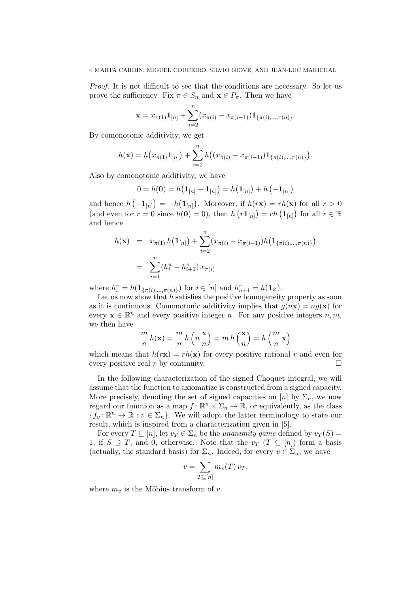Proof. It is not difficult to see that the conditions are necessary. So let us prove the sufficiency. Fix  $\pi \in S_n$  and  $\mathbf{x} \in P_{\pi}$ . Then we have

$$
\mathbf{x} = x_{\pi(1)} \mathbf{1}_{[n]} + \sum_{i=2}^{n} (x_{\pi(i)} - x_{\pi(i-1)}) \mathbf{1}_{\{\pi(i),\dots,\pi(n)\}}.
$$

By comonotonic additivity, we get

$$
h(\mathbf{x}) = h(x_{\pi(1)}\mathbf{1}_{[n]}) + \sum_{i=2}^{n} h((x_{\pi(i)} - x_{\pi(i-1)})\mathbf{1}_{\{\pi(i),\dots,\pi(n)\}}).
$$

Also by comonotonic additivity, we have

$$
0 = h(\mathbf{0}) = h(\mathbf{1}_{[n]} - \mathbf{1}_{[n]}) = h(\mathbf{1}_{[n]}) + h(-\mathbf{1}_{[n]})
$$

and hence h ¡  $-\mathbf{1}_{[n]}$  $=-h$  $\mathbf{1}_{[n]}$ . Moreover, if  $h(r\mathbf{x}) = rh(\mathbf{x})$  for all  $r > 0$ and hence  $h(-\mathbf{I}_{[n]}) = -h(\mathbf{I}_{[n]})$ . Moreover, if  $h(\mathbf{X}) = \tau h(\mathbf{X})$  for all  $\tau > 0$ <br>(and even for  $r = 0$  since  $h(\mathbf{0}) = 0$ ), then  $h(r\mathbf{1}_{[n]}) = rh(\mathbf{1}_{[n]})$  for all  $r \in \mathbb{R}$ and hence

$$
h(\mathbf{x}) = x_{\pi(1)} h(\mathbf{1}_{[n]}) + \sum_{i=2}^{n} (x_{\pi(i)} - x_{\pi(i-1)}) h(\mathbf{1}_{\{\pi(i),\dots,\pi(n)\}})
$$
  
= 
$$
\sum_{i=1}^{n} (h_i^{\pi} - h_{i+1}^{\pi}) x_{\pi(i)}
$$

where  $h_i^{\pi} = h(\mathbf{1}_{\{\pi(i), ..., \pi(n)\}})$  for  $i \in [n]$  and  $h_{n+1}^{\pi} = h(\mathbf{1}_{\varnothing})$ .

Let us now show that  $h$  satisfies the positive homogeneity property as soon as it is continuous. Comonotonic additivity implies that  $q(n\mathbf{x}) = nq(\mathbf{x})$  for every  $\mathbf{x} \in \mathbb{R}^n$  and every positive integer n. For any positive integers  $n, m$ , we then have

$$
\frac{m}{n}h(\mathbf{x}) = \frac{m}{n}h\left(n\frac{\mathbf{x}}{n}\right) = m h\left(\frac{\mathbf{x}}{n}\right) = h\left(\frac{m}{n}\mathbf{x}\right)
$$

which means that  $h(r\mathbf{x}) = rh(\mathbf{x})$  for every positive rational r and even for every positive real r by continuity.  $\Box$ 

In the following characterization of the signed Choquet integral, we will assume that the function to axiomatize is constructed from a signed capacity. More precisely, denoting the set of signed capacities on [n] by  $\Sigma_n$ , we now regard our function as a map  $f: \mathbb{R}^n \times \Sigma_n \to \mathbb{R}$ , or equivalently, as the class  ${f_v: \mathbb{R}^n \to \mathbb{R} : v \in \Sigma_n}$ . We will adopt the latter terminology to state our result, which is inspired from a characterization given in [5].

For every  $T \subseteq [n]$ , let  $v_T \in \Sigma_n$  be the unanimity game defined by  $v_T(S) =$ 1, if  $S \supseteq T$ , and 0, otherwise. Note that the  $v_T$   $(T \subseteq [n])$  form a basis (actually, the standard basis) for  $\Sigma_n$ . Indeed, for every  $v \in \Sigma_n$ , we have

$$
v = \sum_{T \subseteq [n]} m_v(T) v_T,
$$

where  $m_v$  is the Möbius transform of v.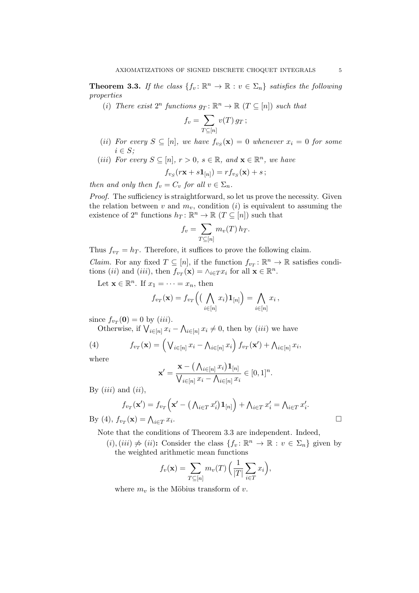**Theorem 3.3.** If the class  $\{f_v: \mathbb{R}^n \to \mathbb{R} : v \in \Sigma_n\}$  satisfies the following properties

(i) There exist  $2^n$  functions  $g_T: \mathbb{R}^n \to \mathbb{R}$   $(T \subseteq [n])$  such that

$$
f_v = \sum_{T \subseteq [n]} v(T) g_T;
$$

- (ii) For every  $S \subseteq [n]$ , we have  $f_{v_S}(\mathbf{x}) = 0$  whenever  $x_i = 0$  for some  $i \in S$ :
- (iii) For every  $S \subseteq [n], r > 0, s \in \mathbb{R}$ , and  $\mathbf{x} \in \mathbb{R}^n$ , we have

$$
f_{v_S}(r\mathbf{x} + s\mathbf{1}_{[n]}) = r f_{v_S}(\mathbf{x}) + s;
$$

then and only then  $f_v = C_v$  for all  $v \in \Sigma_n$ .

Proof. The sufficiency is straightforward, so let us prove the necessity. Given the relation between v and  $m_v$ , condition (i) is equivalent to assuming the existence of  $2^n$  functions  $h_T: \mathbb{R}^n \to \mathbb{R}$   $(T \subseteq [n])$  such that

$$
f_v = \sum_{T \subseteq [n]} m_v(T) h_T.
$$

Thus  $f_{v_T} = h_T$ . Therefore, it suffices to prove the following claim.

*Claim.* For any fixed  $T \subseteq [n]$ , if the function  $f_{v_T} : \mathbb{R}^n \to \mathbb{R}$  satisfies conditions *(ii)* and *(iii)*, then  $f_{v_T}(\mathbf{x}) = \wedge_{i \in T} x_i$  for all  $\mathbf{x} \in \mathbb{R}^n$ .

Let  $\mathbf{x} \in \mathbb{R}^n$ . If  $x_1 = \cdots = x_n$ , then

$$
f_{v_T}(\mathbf{x}) = f_{v_T}\Big(\big(\bigwedge_{i \in [n]} x_i\big)\mathbf{1}_{[n]}\Big) = \bigwedge_{i \in [n]} x_i\,,
$$

since  $f_{v_T}(\mathbf{0}) = 0$  by  $(iii)$ .

 $\text{Cet } \int v_T(\mathbf{U}) = 0 \text{ by } (iii).$ <br>Otherwise, if  $\bigvee_{i \in [n]} x_i$  $\mathbf{v}$  $i\in[n]$   $x_i \neq 0$ , then by  $(iii)$  we have

(4) 
$$
f_{v_T}(\mathbf{x}) = \left(\bigvee_{i \in [n]} x_i - \bigwedge_{i \in [n]} x_i\right) f_{v_T}(\mathbf{x}') + \bigwedge_{i \in [n]} x_i,
$$
  
where

where

$$
\mathbf{x}' = \frac{\mathbf{x} - (\Lambda_{i \in [n]} x_i) \mathbf{1}_{[n]}}{\bigvee_{i \in [n]} x_i - \Lambda_{i \in [n]} x_i} \in [0, 1]^n.
$$

By  $(iii)$  and  $(ii)$ ,

$$
f_{v_T}(\mathbf{x}') = f_{v_T}\left(\mathbf{x}' - \left(\bigwedge_{i \in T} x'_i\right) \mathbf{1}_{[n]}\right) + \bigwedge_{i \in T} x'_i = \bigwedge_{i \in T} x'_i.
$$
  

$$
v_T(\mathbf{x}) = \bigwedge_{i \in T} x_i.
$$

By (4),  $f_{v_T}(\mathbf{x}) = \bigwedge_{i \in T} x_i$ 

Note that the conditions of Theorem 3.3 are independent. Indeed,

 $(i), (iii) \neq (ii)$ : Consider the class  $\{f_v : \mathbb{R}^n \to \mathbb{R} : v \in \Sigma_n\}$  given by the weighted arithmetic mean functions

$$
f_v(\mathbf{x}) = \sum_{T \subseteq [n]} m_v(T) \left( \frac{1}{|T|} \sum_{i \in T} x_i \right),
$$

where  $m_v$  is the Möbius transform of v.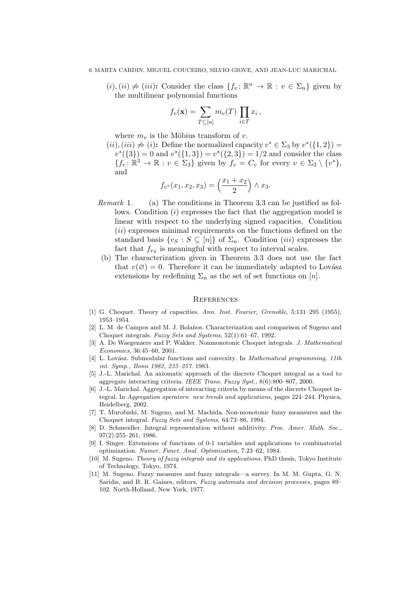$(i), (ii) \neq (iii)$ : Consider the class  $\{f_v : \mathbb{R}^n \to \mathbb{R} : v \in \Sigma_n\}$  given by the multilinear polynomial functions

$$
f_v(\mathbf{x}) = \sum_{T \subseteq [n]} m_v(T) \prod_{i \in T} x_i ,
$$

where  $m_v$  is the Möbius transform of v.

 $(ii), (iii) \neq (i)$ : Define the normalized capacity  $v^* \in \Sigma_3$  by  $v^*(\{1,2\})$  =  $v^*(\{3\}) = 0$  and  $v^*(\{1,3\}) = v^*(\{2,3\}) = 1/2$  and consider the class  ${f_v: \mathbb{R}^3 \to \mathbb{R} : v \in \Sigma_3}$  given by  $f_v = C_v$  for every  $v \in \Sigma_3 \setminus \{v^*\},$ and ´

$$
f_{v^*}(x_1, x_2, x_3) = \left(\frac{x_1 + x_2}{2}\right) \wedge x_3.
$$

- Remark 1. (a) The conditions in Theorem 3.3 can be justified as follows. Condition (*i*) expresses the fact that the aggregation model is linear with respect to the underlying signed capacities. Condition (ii) expresses minimal requirements on the functions defined on the standard basis  $\{v_S : S \subseteq [n]\}\$  of  $\Sigma_n$ . Condition *(iii)* expresses the fact that  $f_{v_S}$  is meaningful with respect to interval scales.
- (b) The characterization given in Theorem 3.3 does not use the fact that  $v(\emptyset) = 0$ . Therefore it can be immediately adapted to Lovász extensions by redefining  $\Sigma_n$  as the set of set functions on [n].

#### **REFERENCES**

- [1] G. Choquet. Theory of capacities. Ann. Inst. Fourier, Grenoble, 5:131-295 (1955), 1953–1954.
- [2] L. M. de Campos and M. J. Bolaños. Characterization and comparison of Sugeno and Choquet integrals. Fuzzy Sets and Systems, 52(1):61–67, 1992.
- [3] A. De Waegenaere and P. Wakker. Nonmonotonic Choquet integrals. J. Mathematical Economics, 36:45–60, 2001.
- [4] L. Lovász. Submodular functions and convexity. In Mathematical programming, 11th int. Symp., Bonn 1982, 235–257. 1983.
- [5] J.-L. Marichal. An axiomatic approach of the discrete Choquet integral as a tool to aggregate interacting criteria. IEEE Trans. Fuzzy Syst., 8(6):800–807, 2000.
- [6] J.-L. Marichal. Aggregation of interacting criteria by means of the discrete Choquet integral. In Aggregation operators: new trends and applications, pages 224–244. Physica, Heidelberg, 2002.
- [7] T. Murofushi, M. Sugeno, and M. Machida. Non-monotonic fuzzy meansures and the Choquet integral. Fuzzy Sets and Systems, 64:73–86, 1994.
- [8] D. Schmeidler. Integral representation without additivity. Proc. Amer. Math. Soc., 97(2):255–261, 1986.
- [9] I. Singer. Extensions of functions of 0-1 variables and applications to combinatorial optimization. Numer. Funct. Anal. Optimization, 7:23–62, 1984.
- [10] M. Sugeno. Theory of fuzzy integrals and its applications. PhD thesis, Tokyo Institute of Technology, Tokyo, 1974.
- [11] M. Sugeno. Fuzzy measures and fuzzy integrals—a survey. In M. M. Gupta, G. N. Saridis, and B. R. Gaines, editors, Fuzzy automata and decision processes, pages 89– 102. North-Holland, New York, 1977.